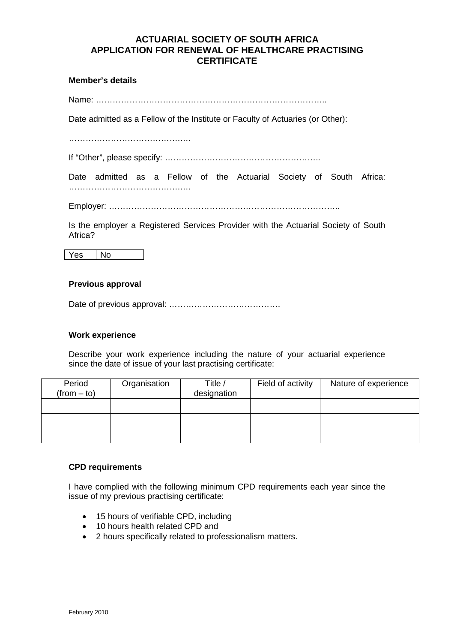# **ACTUARIAL SOCIETY OF SOUTH AFRICA APPLICATION FOR RENEWAL OF HEALTHCARE PRACTISING CERTIFICATE**

## **Member's details**

Name: ………………………………………………………………………..

Date admitted as a Fellow of the Institute or Faculty of Actuaries (or Other):

………………………………….….

If "Other", please specify: ………………………………………………..

Date admitted as a Fellow of the Actuarial Society of South Africa: ………………………………….….

Employer: ………………………………………………………………………..

Is the employer a Registered Services Provider with the Actuarial Society of South Africa?

Yes No

## **Previous approval**

Date of previous approval: ………………………………….

#### **Work experience**

Describe your work experience including the nature of your actuarial experience since the date of issue of your last practising certificate:

| Period        | Organisation | Title /     | Field of activity | Nature of experience |
|---------------|--------------|-------------|-------------------|----------------------|
| $(from - to)$ |              | designation |                   |                      |
|               |              |             |                   |                      |
|               |              |             |                   |                      |
|               |              |             |                   |                      |
|               |              |             |                   |                      |
|               |              |             |                   |                      |

#### **CPD requirements**

I have complied with the following minimum CPD requirements each year since the issue of my previous practising certificate:

- 15 hours of verifiable CPD, including
- 10 hours health related CPD and
- 2 hours specifically related to professionalism matters.